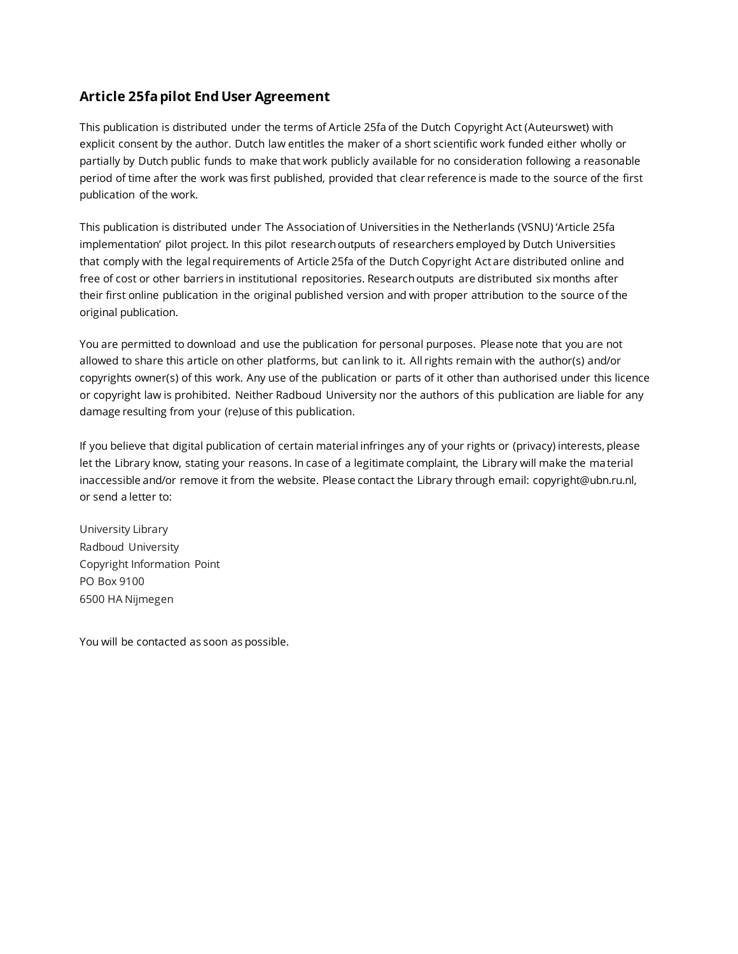# **Article 25fa pilot End User Agreement**

This publication is distributed under the terms of Article 25fa of the Dutch Copyright Act (Auteurswet) with explicit consent by the author. Dutch law entitles the maker of a short scientific work funded either wholly or partially by Dutch public funds to make that work publicly available for no consideration following a reasonable period of time after the work was first published, provided that clear reference is made to the source of the first publication of the work.

This publication is distributed under The Association of Universities in the Netherlands (VSNU) 'Article 25fa implementation' pilot project. In this pilot research outputs of researchers employed by Dutch Universities that comply with the legal requirements of Article 25fa of the Dutch Copyright Act are distributed online and free of cost or other barriers in institutional repositories. Research outputs are distributed six months after their first online publication in the original published version and with proper attribution to the source of the original publication.

You are permitted to download and use the publication for personal purposes. Please note that you are not allowed to share this article on other platforms, but can link to it. All rights remain with the author(s) and/or copyrights owner(s) of this work. Any use of the publication or parts of it other than authorised under this licence or copyright law is prohibited. Neither Radboud University nor the authors of this publication are liable for any damage resulting from your (re)use of this publication.

If you believe that digital publication of certain material infringes any of your rights or (privacy) interests, please let the Library know, stating your reasons. In case of a legitimate complaint, the Library will make the ma terial inaccessible and/or remove it from the website. Please contact the Library through email: [copyright@ubn.ru.nl,](mailto:copyright@ubn.ru.nl)  or send a letter to:

University Library Radboud University Copyright Information Point PO Box 9100 6500 HA Nijmegen

You will be contacted as soon as possible.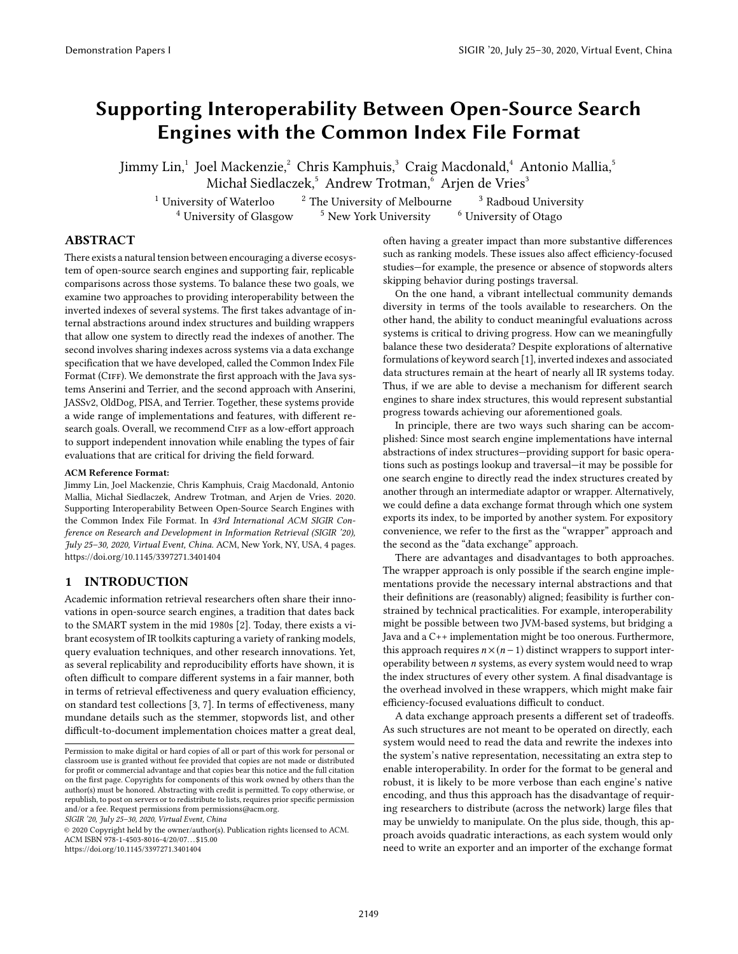# Supporting Interoperability Between Open-Source Search Engines with the Common Index File Format

Jimmy Lin, $^1$  Joel Mackenzie, $^2$  Chris Kamphuis, $^3$  Craig Macdonald, $^4$  Antonio Mallia, $^5$ Michał Siedlaczek,<sup>5</sup> Andrew Trotman,<sup>6</sup> Arjen de Vries<sup>3</sup>

<sup>1</sup> University of Waterloo  $\frac{2}{3}$  The University of Melbourne  $\frac{3}{3}$  Radboud University  $^4$  University of Glasgow  $\quad$   $^5$  New York University  $\quad$   $^6$  University of Otago

# ABSTRACT

There exists a natural tension between encouraging a diverse ecosystem of open-source search engines and supporting fair, replicable comparisons across those systems. To balance these two goals, we examine two approaches to providing interoperability between the inverted indexes of several systems. The first takes advantage of internal abstractions around index structures and building wrappers that allow one system to directly read the indexes of another. The second involves sharing indexes across systems via a data exchange specification that we have developed, called the Common Index File Format (CIFF). We demonstrate the first approach with the Java systems Anserini and Terrier, and the second approach with Anserini, JASSv2, OldDog, PISA, and Terrier. Together, these systems provide a wide range of implementations and features, with different research goals. Overall, we recommend CIFF as a low-effort approach to support independent innovation while enabling the types of fair evaluations that are critical for driving the field forward.

#### ACM Reference Format:

Jimmy Lin, Joel Mackenzie, Chris Kamphuis, Craig Macdonald, Antonio Mallia, Michał Siedlaczek, Andrew Trotman, and Arjen de Vries. 2020. Supporting Interoperability Between Open-Source Search Engines with the Common Index File Format. In 43rd International ACM SIGIR Conference on Research and Development in Information Retrieval (SIGIR '20), July 25–30, 2020, Virtual Event, China. ACM, New York, NY, USA, [4](#page-4-0) pages. <https://doi.org/10.1145/3397271.3401404>

# 1 INTRODUCTION

Academic information retrieval researchers often share their innovations in open-source search engines, a tradition that dates back to the SMART system in the mid 1980s [\[2\]](#page-4-1). Today, there exists a vibrant ecosystem of IR toolkits capturing a variety of ranking models, query evaluation techniques, and other research innovations. Yet, as several replicability and reproducibility efforts have shown, it is often difficult to compare different systems in a fair manner, both in terms of retrieval effectiveness and query evaluation efficiency, on standard test collections [\[3,](#page-4-2) [7\]](#page-4-3). In terms of effectiveness, many mundane details such as the stemmer, stopwords list, and other difficult-to-document implementation choices matter a great deal,

SIGIR '20, July 25–30, 2020, Virtual Event, China

© 2020 Copyright held by the owner/author(s). Publication rights licensed to ACM. ACM ISBN 978-1-4503-8016-4/20/07. . . \$15.00 <https://doi.org/10.1145/3397271.3401404>

often having a greater impact than more substantive differences such as ranking models. These issues also affect efficiency-focused studies—for example, the presence or absence of stopwords alters skipping behavior during postings traversal.

On the one hand, a vibrant intellectual community demands diversity in terms of the tools available to researchers. On the other hand, the ability to conduct meaningful evaluations across systems is critical to driving progress. How can we meaningfully balance these two desiderata? Despite explorations of alternative formulations of keyword search [\[1\]](#page-4-4), inverted indexes and associated data structures remain at the heart of nearly all IR systems today. Thus, if we are able to devise a mechanism for different search engines to share index structures, this would represent substantial progress towards achieving our aforementioned goals.

In principle, there are two ways such sharing can be accomplished: Since most search engine implementations have internal abstractions of index structures—providing support for basic operations such as postings lookup and traversal—it may be possible for one search engine to directly read the index structures created by another through an intermediate adaptor or wrapper. Alternatively, we could define a data exchange format through which one system exports its index, to be imported by another system. For expository convenience, we refer to the first as the "wrapper" approach and the second as the "data exchange" approach.

There are advantages and disadvantages to both approaches. The wrapper approach is only possible if the search engine implementations provide the necessary internal abstractions and that their definitions are (reasonably) aligned; feasibility is further constrained by technical practicalities. For example, interoperability might be possible between two JVM-based systems, but bridging a Java and a C++ implementation might be too onerous. Furthermore, this approach requires  $n \times (n-1)$  distinct wrappers to support interoperability between n systems, as every system would need to wrap the index structures of every other system. A final disadvantage is the overhead involved in these wrappers, which might make fair efficiency-focused evaluations difficult to conduct.

A data exchange approach presents a different set of tradeoffs. As such structures are not meant to be operated on directly, each system would need to read the data and rewrite the indexes into the system's native representation, necessitating an extra step to enable interoperability. In order for the format to be general and robust, it is likely to be more verbose than each engine's native encoding, and thus this approach has the disadvantage of requiring researchers to distribute (across the network) large files that may be unwieldy to manipulate. On the plus side, though, this approach avoids quadratic interactions, as each system would only need to write an exporter and an importer of the exchange format

Permission to make digital or hard copies of all or part of this work for personal or classroom use is granted without fee provided that copies are not made or distributed for profit or commercial advantage and that copies bear this notice and the full citation on the first page. Copyrights for components of this work owned by others than the author(s) must be honored. Abstracting with credit is permitted. To copy otherwise, or republish, to post on servers or to redistribute to lists, requires prior specific permission and/or a fee. Request permissions from permissions@acm.org.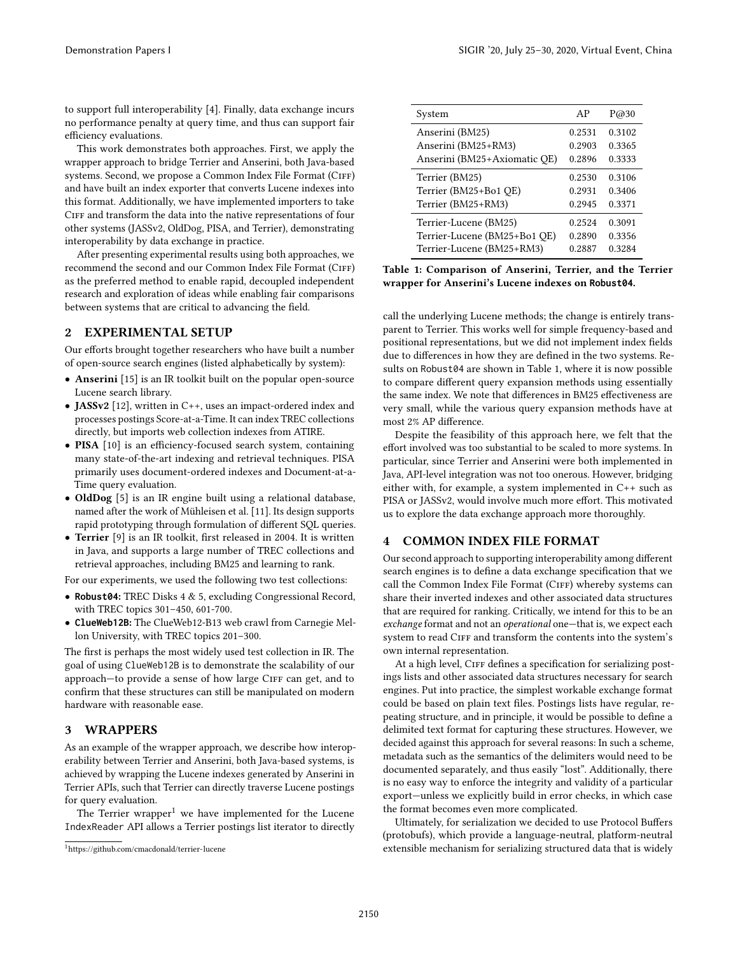to support full interoperability [\[4\]](#page-4-5). Finally, data exchange incurs no performance penalty at query time, and thus can support fair efficiency evaluations.

This work demonstrates both approaches. First, we apply the wrapper approach to bridge Terrier and Anserini, both Java-based systems. Second, we propose a Common Index File Format (CIFF) and have built an index exporter that converts Lucene indexes into this format. Additionally, we have implemented importers to take CIFF and transform the data into the native representations of four other systems (JASSv2, OldDog, PISA, and Terrier), demonstrating interoperability by data exchange in practice.

After presenting experimental results using both approaches, we recommend the second and our Common Index File Format (CIFF) as the preferred method to enable rapid, decoupled independent research and exploration of ideas while enabling fair comparisons between systems that are critical to advancing the field.

#### <span id="page-2-2"></span>2 EXPERIMENTAL SETUP

Our efforts brought together researchers who have built a number of open-source search engines (listed alphabetically by system):

- Anserini [\[15\]](#page-4-6) is an IR toolkit built on the popular open-source Lucene search library.
- JASSv2 [\[12\]](#page-4-7), written in C++, uses an impact-ordered index and processes postings Score-at-a-Time. It can index TREC collections directly, but imports web collection indexes from ATIRE.
- PISA [\[10\]](#page-4-8) is an efficiency-focused search system, containing many state-of-the-art indexing and retrieval techniques. PISA primarily uses document-ordered indexes and Document-at-a-Time query evaluation.
- OldDog [\[5\]](#page-4-9) is an IR engine built using a relational database, named after the work of Mühleisen et al. [\[11\]](#page-4-10). Its design supports rapid prototyping through formulation of different SQL queries.
- Terrier [\[9\]](#page-4-11) is an IR toolkit, first released in 2004. It is written in Java, and supports a large number of TREC collections and retrieval approaches, including BM25 and learning to rank.

For our experiments, we used the following two test collections:

- **Robust04**: TREC Disks 4 & 5, excluding Congressional Record, with TREC topics 301–450, 601-700.
- **ClueWeb12B**: The ClueWeb12-B13 web crawl from Carnegie Mellon University, with TREC topics 201–300.

The first is perhaps the most widely used test collection in IR. The goal of using ClueWeb12B is to demonstrate the scalability of our approach-to provide a sense of how large CIFF can get, and to confirm that these structures can still be manipulated on modern hardware with reasonable ease.

# 3 WRAPPERS

As an example of the wrapper approach, we describe how interoperability between Terrier and Anserini, both Java-based systems, is achieved by wrapping the Lucene indexes generated by Anserini in Terrier APIs, such that Terrier can directly traverse Lucene postings for query evaluation.

The Terrier wrapper<sup>[1](#page-2-0)</sup> we have implemented for the Lucene IndexReader API allows a Terrier postings list iterator to directly

<span id="page-2-1"></span>

| System                       | AP     | P@30   |
|------------------------------|--------|--------|
| Anserini (BM25)              | 0.2531 | 0.3102 |
| Anserini (BM25+RM3)          | 0.2903 | 0.3365 |
| Anserini (BM25+Axiomatic OE) | 0.2896 | 0.3333 |
| Terrier (BM25)               | 0.2530 | 0.3106 |
| Terrier (BM25+Bo1 QE)        | 0.2931 | 0.3406 |
| Terrier (BM25+RM3)           | 0.2945 | 0.3371 |
| Terrier-Lucene (BM25)        | 0.2524 | 0.3091 |
| Terrier-Lucene (BM25+Bo1 QE) | 0.2890 | 0.3356 |
| Terrier-Lucene (BM25+RM3)    | 0.2887 | 0.3284 |

Table 1: Comparison of Anserini, Terrier, and the Terrier wrapper for Anserini's Lucene indexes on **Robust04**.

call the underlying Lucene methods; the change is entirely transparent to Terrier. This works well for simple frequency-based and positional representations, but we did not implement index fields due to differences in how they are defined in the two systems. Results on Robust04 are shown in Table [1,](#page-2-1) where it is now possible to compare different query expansion methods using essentially the same index. We note that differences in BM25 effectiveness are very small, while the various query expansion methods have at most 2% AP difference.

Despite the feasibility of this approach here, we felt that the effort involved was too substantial to be scaled to more systems. In particular, since Terrier and Anserini were both implemented in Java, API-level integration was not too onerous. However, bridging either with, for example, a system implemented in C++ such as PISA or JASSv2, would involve much more effort. This motivated us to explore the data exchange approach more thoroughly.

### 4 COMMON INDEX FILE FORMAT

Our second approach to supporting interoperability among different search engines is to define a data exchange specification that we call the Common Index File Format (CIFF) whereby systems can share their inverted indexes and other associated data structures that are required for ranking. Critically, we intend for this to be an exchange format and not an operational one—that is, we expect each system to read CIFF and transform the contents into the system's own internal representation.

At a high level, CIFF defines a specification for serializing postings lists and other associated data structures necessary for search engines. Put into practice, the simplest workable exchange format could be based on plain text files. Postings lists have regular, repeating structure, and in principle, it would be possible to define a delimited text format for capturing these structures. However, we decided against this approach for several reasons: In such a scheme, metadata such as the semantics of the delimiters would need to be documented separately, and thus easily "lost". Additionally, there is no easy way to enforce the integrity and validity of a particular export—unless we explicitly build in error checks, in which case the format becomes even more complicated.

Ultimately, for serialization we decided to use Protocol Buffers (protobufs), which provide a language-neutral, platform-neutral extensible mechanism for serializing structured data that is widely

<span id="page-2-0"></span><sup>1</sup><https://github.com/cmacdonald/terrier-lucene>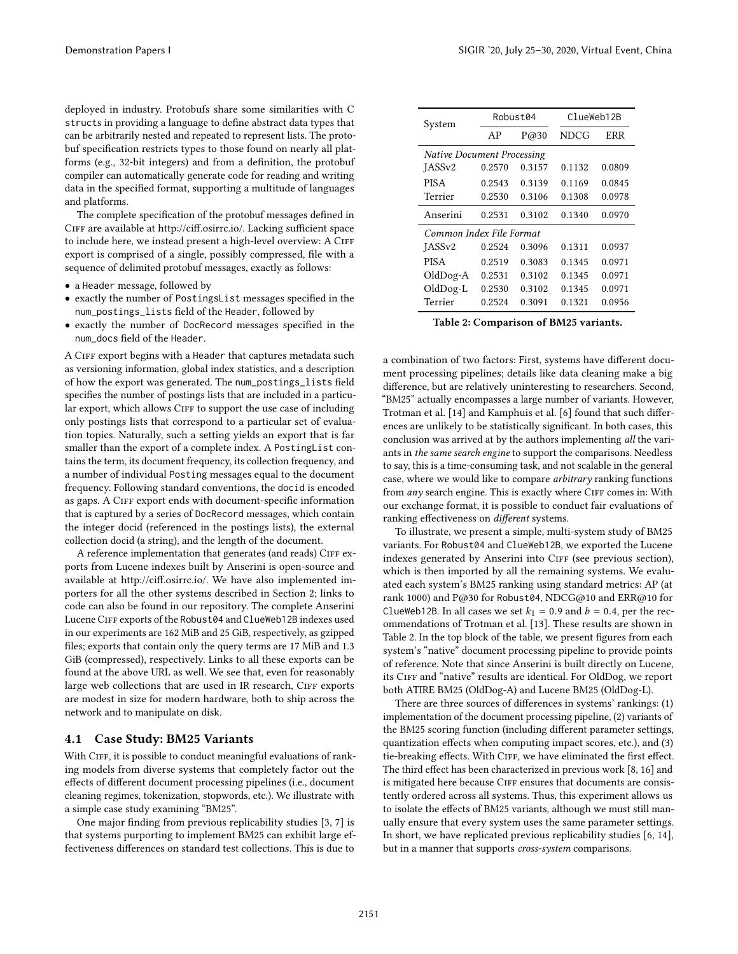deployed in industry. Protobufs share some similarities with C structs in providing a language to define abstract data types that can be arbitrarily nested and repeated to represent lists. The protobuf specification restricts types to those found on nearly all platforms (e.g., 32-bit integers) and from a definition, the protobuf compiler can automatically generate code for reading and writing data in the specified format, supporting a multitude of languages and platforms.

The complete specification of the protobuf messages defined in Ciff are available at [http://ciff.osirrc.io/.](http://ciff.osirrc.io/) Lacking sufficient space to include here, we instead present a high-level overview: A CIFF export is comprised of a single, possibly compressed, file with a sequence of delimited protobuf messages, exactly as follows:

- a Header message, followed by
- exactly the number of PostingsList messages specified in the num\_postings\_lists field of the Header, followed by
- exactly the number of DocRecord messages specified in the num\_docs field of the Header.

A CIFF export begins with a Header that captures metadata such as versioning information, global index statistics, and a description of how the export was generated. The num\_postings\_lists field specifies the number of postings lists that are included in a particular export, which allows CIFF to support the use case of including only postings lists that correspond to a particular set of evaluation topics. Naturally, such a setting yields an export that is far smaller than the export of a complete index. A PostingList contains the term, its document frequency, its collection frequency, and a number of individual Posting messages equal to the document frequency. Following standard conventions, the docid is encoded as gaps. A CIFF export ends with document-specific information that is captured by a series of DocRecord messages, which contain the integer docid (referenced in the postings lists), the external collection docid (a string), and the length of the document.

A reference implementation that generates (and reads) CIFF exports from Lucene indexes built by Anserini is open-source and available at [http://ciff.osirrc.io/.](http://ciff.osirrc.io/) We have also implemented importers for all the other systems described in Section [2;](#page-2-2) links to code can also be found in our repository. The complete Anserini Lucene CIFF exports of the Robust04 and ClueWeb12B indexes used in our experiments are 162 MiB and 25 GiB, respectively, as gzipped files; exports that contain only the query terms are 17 MiB and 1.3 GiB (compressed), respectively. Links to all these exports can be found at the above URL as well. We see that, even for reasonably large web collections that are used in IR research, CIFF exports are modest in size for modern hardware, both to ship across the network and to manipulate on disk.

#### 4.1 Case Study: BM25 Variants

With CIFF, it is possible to conduct meaningful evaluations of ranking models from diverse systems that completely factor out the effects of different document processing pipelines (i.e., document cleaning regimes, tokenization, stopwords, etc.). We illustrate with a simple case study examining "BM25".

One major finding from previous replicability studies [\[3,](#page-4-2) [7\]](#page-4-3) is that systems purporting to implement BM25 can exhibit large effectiveness differences on standard test collections. This is due to

<span id="page-3-0"></span>

| System                            | Robust04 |        | ClueWeb12B |        |  |
|-----------------------------------|----------|--------|------------|--------|--|
|                                   | AP       | P@30   | NDCG       | ERR    |  |
| <b>Native Document Processing</b> |          |        |            |        |  |
| IASS <sub>v2</sub>                | 0.2570   | 0.3157 | 0.1132     | 0.0809 |  |
| <b>PISA</b>                       | 0.2543   | 0.3139 | 0.1169     | 0.0845 |  |
| Terrier                           | 0.2530   | 0.3106 | 0.1308     | 0.0978 |  |
| Anserini                          | 0.2531   | 0.3102 | 0.1340     | 0.0970 |  |
| Common Index File Format          |          |        |            |        |  |
| JASS <sub>v2</sub>                | 0.2524   | 0.3096 | 0.1311     | 0.0937 |  |
| <b>PISA</b>                       | 0.2519   | 0.3083 | 0.1345     | 0.0971 |  |
| OldDog-A                          | 0.2531   | 0.3102 | 0.1345     | 0.0971 |  |
| $OldDog-L$                        | 0.2530   | 0.3102 | 0.1345     | 0.0971 |  |
| Terrier                           | 0.2524   | 0.3091 | 0.1321     | 0.0956 |  |

Table 2: Comparison of BM25 variants.

a combination of two factors: First, systems have different document processing pipelines; details like data cleaning make a big difference, but are relatively uninteresting to researchers. Second, "BM25" actually encompasses a large number of variants. However, Trotman et al. [\[14\]](#page-4-12) and Kamphuis et al. [\[6\]](#page-4-13) found that such differences are unlikely to be statistically significant. In both cases, this conclusion was arrived at by the authors implementing all the variants in the same search engine to support the comparisons. Needless to say, this is a time-consuming task, and not scalable in the general case, where we would like to compare arbitrary ranking functions from any search engine. This is exactly where CIFF comes in: With our exchange format, it is possible to conduct fair evaluations of ranking effectiveness on different systems.

To illustrate, we present a simple, multi-system study of BM25 variants. For Robust04 and ClueWeb12B, we exported the Lucene indexes generated by Anserini into CIFF (see previous section), which is then imported by all the remaining systems. We evaluated each system's BM25 ranking using standard metrics: AP (at rank 1000) and P@30 for Robust04, NDCG@10 and ERR@10 for ClueWeb12B. In all cases we set  $k_1 = 0.9$  and  $b = 0.4$ , per the recommendations of Trotman et al. [\[13\]](#page-4-14). These results are shown in Table [2.](#page-3-0) In the top block of the table, we present figures from each system's "native" document processing pipeline to provide points of reference. Note that since Anserini is built directly on Lucene, its CIFF and "native" results are identical. For OldDog, we report both ATIRE BM25 (OldDog-A) and Lucene BM25 (OldDog-L).

There are three sources of differences in systems' rankings: (1) implementation of the document processing pipeline, (2) variants of the BM25 scoring function (including different parameter settings, quantization effects when computing impact scores, etc.), and (3) tie-breaking effects. With CIFF, we have eliminated the first effect. The third effect has been characterized in previous work [\[8,](#page-4-15) [16\]](#page-4-16) and is mitigated here because CIFF ensures that documents are consistently ordered across all systems. Thus, this experiment allows us to isolate the effects of BM25 variants, although we must still manually ensure that every system uses the same parameter settings. In short, we have replicated previous replicability studies [\[6,](#page-4-13) [14\]](#page-4-12), but in a manner that supports cross-system comparisons.